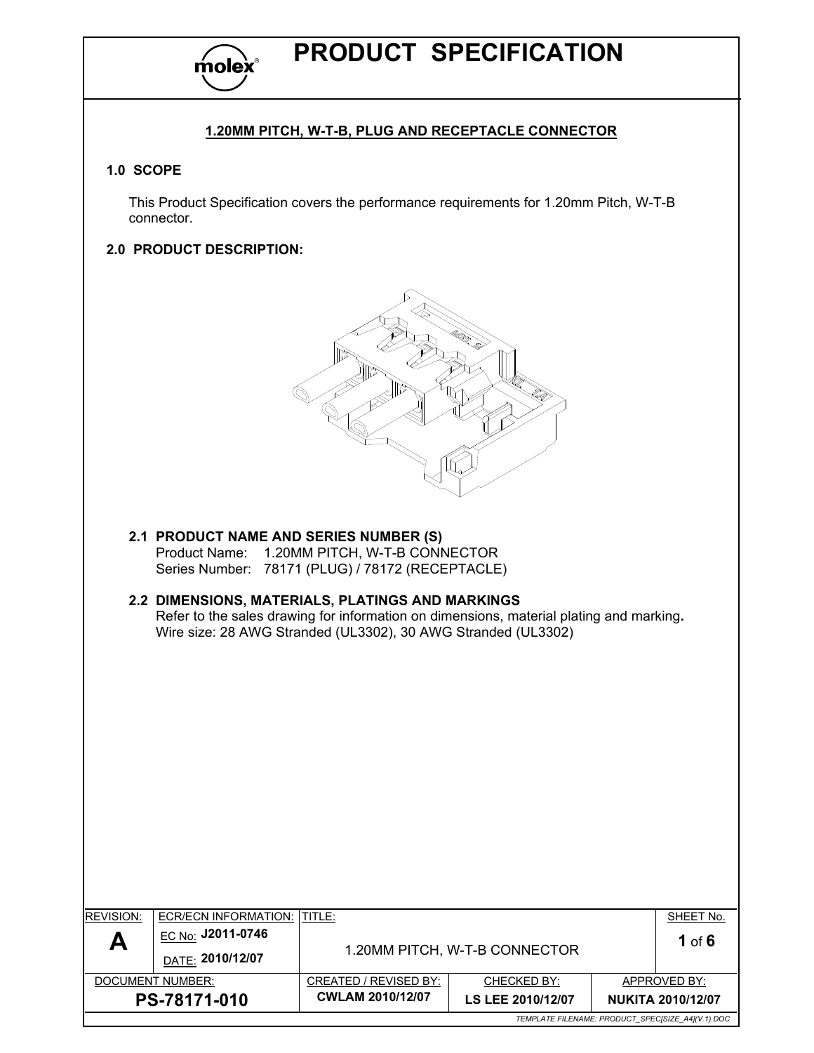

### 1.20MM PITCH, W-T-B, PLUG AND RECEPTACLE CONNECTOR

### 1.0 SCOPE

 $\overline{\phantom{a}}$ 

This Product Specification covers the performance requirements for 1.20mm Pitch, W-T-B connector.

### 2.0 PRODUCT DESCRIPTION:



2.1 PRODUCT NAME AND SERIES NUMBER (S) Product Name: 1.20MM PITCH, W-T-B CONNECTOR Series Number: 78171 (PLUG) / 78172 (RECEPTACLE)

### 2.2 DIMENSIONS, MATERIALS, PLATINGS AND MARKINGS Refer to the sales drawing for information on dimensions, material plating and marking. Wire size: 28 AWG Stranded (UL3302), 30 AWG Stranded (UL3302)

| <b>REVISION:</b>                                  | <b>ECR/ECN INFORMATION:</b>                         | ITITLE:                 |                               |  | SHEET No.                |
|---------------------------------------------------|-----------------------------------------------------|-------------------------|-------------------------------|--|--------------------------|
| A                                                 | l <sub>EC No</sub> : J2011-0746<br>DATE: 2010/12/07 |                         | 1.20MM PITCH, W-T-B CONNECTOR |  | 1 of $6$                 |
|                                                   | DOCUMENT NUMBER:                                    | CREATED / REVISED BY:   | CHECKED BY:                   |  | APPROVED BY:             |
|                                                   | PS-78171-010                                        | <b>CWLAM 2010/12/07</b> | LS LEE 2010/12/07             |  | <b>NUKITA 2010/12/07</b> |
| TEMPLATE FILENAME: PRODUCT SPECISIZE A4](V.1).DOC |                                                     |                         |                               |  |                          |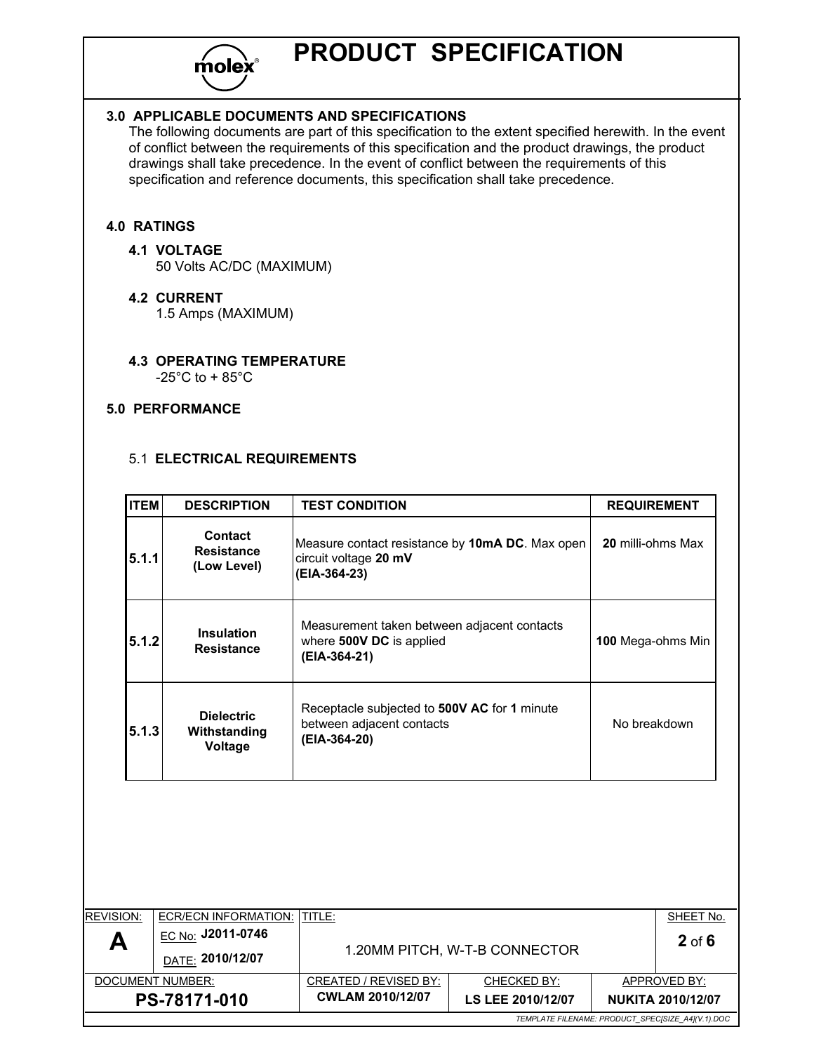

### 3.0 APPLICABLE DOCUMENTS AND SPECIFICATIONS

The following documents are part of this specification to the extent specified herewith. In the event of conflict between the requirements of this specification and the product drawings, the product drawings shall take precedence. In the event of conflict between the requirements of this specification and reference documents, this specification shall take precedence.

### 4.0 RATINGS

### 4.1 VOLTAGE

50 Volts AC/DC (MAXIMUM)

### 4.2 CURRENT

1.5 Amps (MAXIMUM)

### 4.3 OPERATING TEMPERATURE

 $-25^{\circ}$ C to + 85 $^{\circ}$ C

### 5.0 PERFORMANCE

### 5.1 ELECTRICAL REQUIREMENTS

| <b>ITEM</b> | <b>DESCRIPTION</b>                                 | <b>TEST CONDITION</b>                                                                     | <b>REQUIREMENT</b>       |
|-------------|----------------------------------------------------|-------------------------------------------------------------------------------------------|--------------------------|
| 5.1.1       | <b>Contact</b><br><b>Resistance</b><br>(Low Level) | Measure contact resistance by 10mA DC. Max open<br>circuit voltage 20 mV<br>(EIA-364-23)  | <b>20 milli-ohms Max</b> |
| 5.1.2       | <b>Insulation</b><br><b>Resistance</b>             | Measurement taken between adjacent contacts<br>where 500V DC is applied<br>(EIA-364-21)   | 100 Mega-ohms Min        |
| 5.1.3       | <b>Dielectric</b><br>Withstanding<br>Voltage       | Receptacle subjected to 500V AC for 1 minute<br>between adjacent contacts<br>(EIA-364-20) | No breakdown             |

| <b>REVISION:</b>                                  | ECR/ECN INFORMATION: ITITLE:                   |                               |                    |  | SHEET No.                |
|---------------------------------------------------|------------------------------------------------|-------------------------------|--------------------|--|--------------------------|
| A                                                 | l <u>EC No:</u> J2011-0746<br>DATE: 2010/12/07 | 1.20MM PITCH, W-T-B CONNECTOR | $2$ of 6           |  |                          |
|                                                   | DOCUMENT NUMBER:                               | CREATED / REVISED BY:         | <b>CHECKED BY:</b> |  | APPROVED BY:             |
|                                                   | PS-78171-010                                   | <b>CWLAM 2010/12/07</b>       | LS LEE 2010/12/07  |  | <b>NUKITA 2010/12/07</b> |
| TEMPLATE FILENAME: PRODUCT_SPEC[SIZE_A4](V.1).DOC |                                                |                               |                    |  |                          |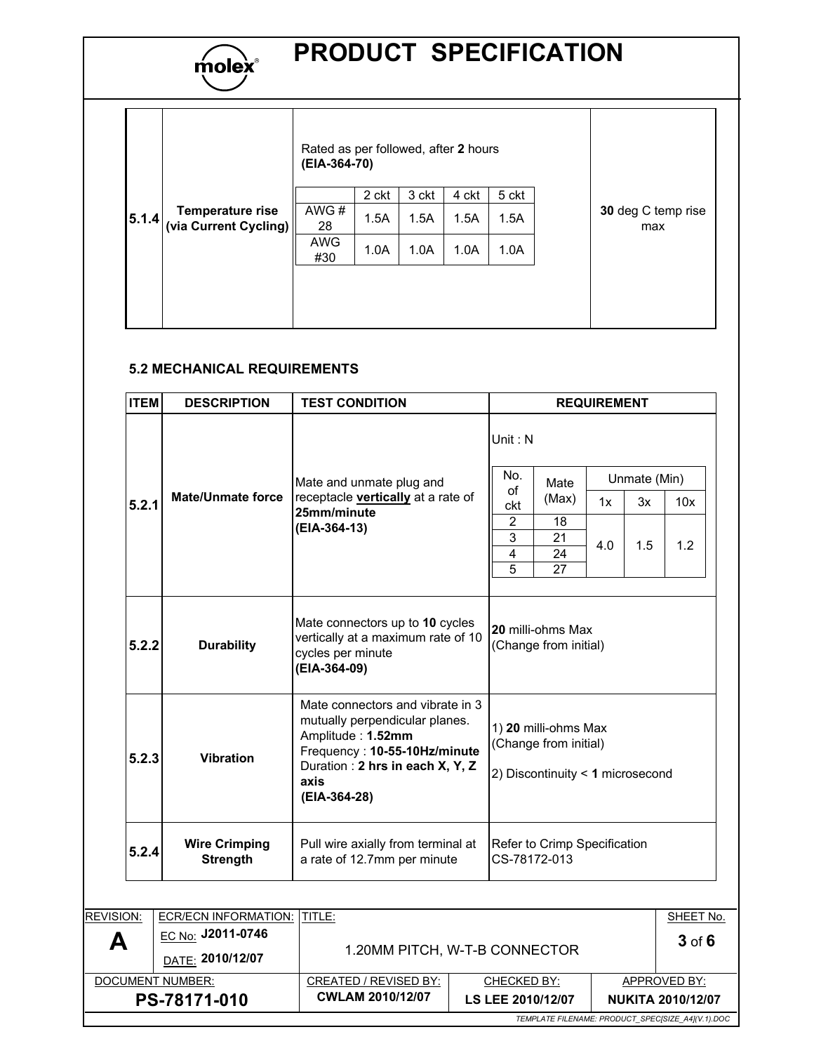

# molex<sup>®</sup> PRODUCT SPECIFICATION

|       |                                                  | Rated as per followed, after 2 hours<br>(EIA-364-70) |       |       |       |       |                           |
|-------|--------------------------------------------------|------------------------------------------------------|-------|-------|-------|-------|---------------------------|
|       |                                                  |                                                      | 2 ckt | 3 ckt | 4 ckt | 5 ckt |                           |
| 5.1.4 | <b>Temperature rise</b><br>(via Current Cycling) | AWG#<br>28                                           | 1.5A  | 1.5A  | 1.5A  | 1.5A  | 30 deg C temp rise<br>max |
|       |                                                  | <b>AWG</b><br>#30                                    | 1.0A  | 1.0A  | 1.0A  | 1.0A  |                           |
|       |                                                  |                                                      |       |       |       |       |                           |

### 5.2 MECHANICAL REQUIREMENTS

| <b>ITEM</b> | <b>DESCRIPTION</b>                      | <b>TEST CONDITION</b>                                                                                                                                                              | <b>REQUIREMENT</b>                                                                                                                                                           |  |  |
|-------------|-----------------------------------------|------------------------------------------------------------------------------------------------------------------------------------------------------------------------------------|------------------------------------------------------------------------------------------------------------------------------------------------------------------------------|--|--|
| 5.2.1       | <b>Mate/Unmate force</b>                | Mate and unmate plug and<br>receptacle vertically at a rate of<br>25mm/minute<br>(EIA-364-13)                                                                                      | Unit: $N$<br>No.<br>Unmate (Min)<br>Mate<br>of<br>(Max)<br>10x<br>1x<br>3x<br>ckt<br>$\overline{2}$<br>18<br>3<br>21<br>1.2<br>4.0<br>1.5<br>$\overline{4}$<br>24<br>5<br>27 |  |  |
| 5.2.2       | <b>Durability</b>                       | Mate connectors up to 10 cycles<br>vertically at a maximum rate of 10<br>cycles per minute<br>(EIA-364-09)                                                                         | 20 milli-ohms Max<br>(Change from initial)                                                                                                                                   |  |  |
| 5.2.3       | <b>Vibration</b>                        | Mate connectors and vibrate in 3<br>mutually perpendicular planes.<br>Amplitude: 1.52mm<br>Frequency: 10-55-10Hz/minute<br>Duration: 2 hrs in each X, Y, Z<br>axis<br>(EIA-364-28) | 1) 20 milli-ohms Max<br>(Change from initial)<br>2) Discontinuity < 1 microsecond                                                                                            |  |  |
| 5.2.4       | <b>Wire Crimping</b><br><b>Strength</b> | Pull wire axially from terminal at<br>a rate of 12.7mm per minute                                                                                                                  | Refer to Crimp Specification<br>CS-78172-013                                                                                                                                 |  |  |

|                  |                                                          |                               |                   |  | TEMPLATE FILENAME: PRODUCT SPECISIZE A4](V.1).DOC |
|------------------|----------------------------------------------------------|-------------------------------|-------------------|--|---------------------------------------------------|
|                  | PS-78171-010                                             | <b>CWLAM 2010/12/07</b>       | LS LEE 2010/12/07 |  | <b>NUKITA 2010/12/07</b>                          |
|                  | DOCUMENT NUMBER:                                         | CREATED / REVISED BY:         | CHECKED BY:       |  | APPROVED BY:                                      |
| А                | DATE: 2010/12/07                                         | 1.20MM PITCH, W-T-B CONNECTOR | $3$ of $6$        |  |                                                   |
| <b>REVISION:</b> | <b>ECR/ECN INFORMATION:</b><br>⊑ <u>C No:</u> J2011-0746 | <b>ITITLE:</b>                |                   |  | SHEET No.                                         |
|                  |                                                          |                               |                   |  |                                                   |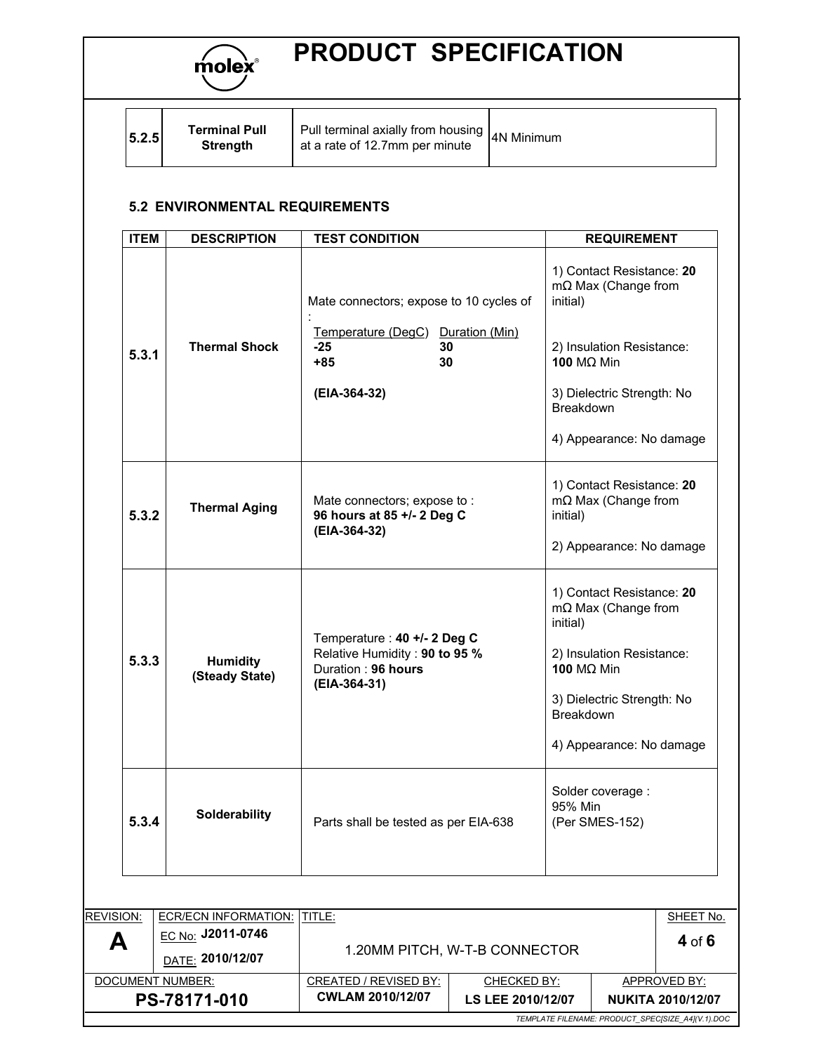

| 5.2.5 | <b>Terminal Pull</b><br>Strenath | Pull terminal axially from housing $ _{4N}$ Minimum<br>at a rate of 12.7mm per minute |  |
|-------|----------------------------------|---------------------------------------------------------------------------------------|--|
|-------|----------------------------------|---------------------------------------------------------------------------------------|--|

### 5.2 ENVIRONMENTAL REQUIREMENTS

| <b>DESCRIPTION</b>                | <b>TEST CONDITION</b>                                           | <b>REQUIREMENT</b>                                                  |  |
|-----------------------------------|-----------------------------------------------------------------|---------------------------------------------------------------------|--|
|                                   | Mate connectors; expose to 10 cycles of                         | 1) Contact Resistance: 20<br>$m\Omega$ Max (Change from<br>initial) |  |
| <b>Thermal Shock</b>              | Temperature (DegC) Duration (Min)<br>30<br>$-25$<br>30<br>$+85$ | 2) Insulation Resistance:<br>100 MΩ Min                             |  |
|                                   | (EIA-364-32)                                                    | 3) Dielectric Strength: No<br>Breakdown                             |  |
|                                   |                                                                 | 4) Appearance: No damage                                            |  |
| <b>Thermal Aging</b>              | Mate connectors; expose to:<br>96 hours at 85 +/- 2 Deg C       | 1) Contact Resistance: 20<br>$m\Omega$ Max (Change from<br>initial) |  |
|                                   |                                                                 | 2) Appearance: No damage                                            |  |
|                                   |                                                                 | 1) Contact Resistance: 20<br>$m\Omega$ Max (Change from<br>initial) |  |
| <b>Humidity</b><br>(Steady State) | Relative Humidity: 90 to 95 %<br>Duration: 96 hours             | 2) Insulation Resistance:<br>100 MΩ Min                             |  |
|                                   |                                                                 | 3) Dielectric Strength: No<br>Breakdown                             |  |
|                                   |                                                                 | 4) Appearance: No damage                                            |  |
| Solderability                     | Parts shall be tested as per EIA-638                            | Solder coverage :<br>95% Min<br>(Per SMES-152)                      |  |
|                                   |                                                                 | (EIA-364-32)<br>Temperature : 40 +/- 2 Deg C<br>(EIA-364-31)        |  |

| TEMPLATE FILENAME: PRODUCT SPECISIZE A4](V.1).DOC |                                |                               |                   |  |                          |
|---------------------------------------------------|--------------------------------|-------------------------------|-------------------|--|--------------------------|
|                                                   | PS-78171-010                   | <b>CWLAM 2010/12/07</b>       | LS LEE 2010/12/07 |  | <b>NUKITA 2010/12/07</b> |
|                                                   | DOCUMENT NUMBER:               | CREATED / REVISED BY:         | CHECKED BY:       |  | APPROVED BY:             |
| A                                                 | DATE: 2010/12/07               | 1.20MM PITCH, W-T-B CONNECTOR |                   |  |                          |
|                                                   | l <sub>EC No:</sub> J2011-0746 |                               |                   |  | 4 of 6                   |
| <b>REVISION:</b>                                  | <b>ECR/ECN INFORMATION:</b>    | <b>ITITLE:</b>                |                   |  | SHEET No.                |
|                                                   |                                |                               |                   |  |                          |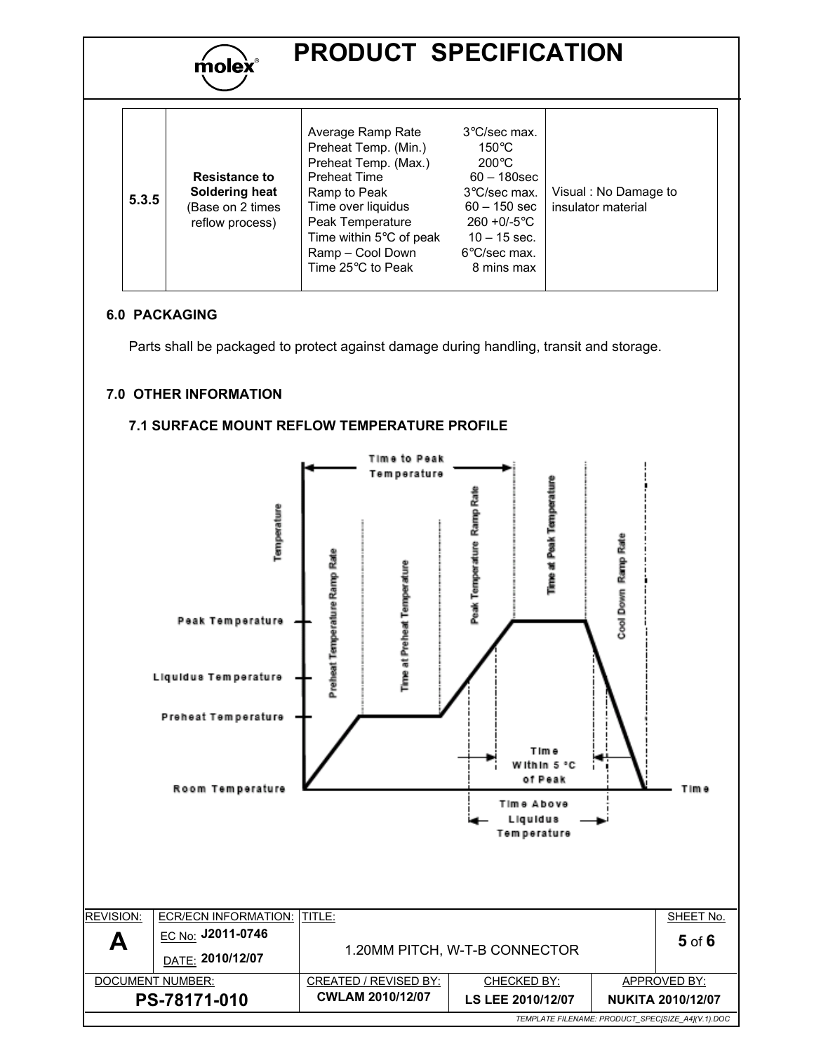

| 5.3.5 | <b>Resistance to</b><br>Soldering heat<br>(Base on 2 times<br>reflow process) | Average Ramp Rate<br>Preheat Temp. (Min.)<br>Preheat Temp. (Max.)<br><b>Preheat Time</b><br>Ramp to Peak<br>Time over liquidus<br>Peak Temperature<br>Time within $5^{\circ}$ C of peak<br>Ramp - Cool Down<br>Time 25°C to Peak | $3^{\circ}$ C/sec max.<br>$150^{\circ}$ C<br>$200^{\circ}$ C<br>$60 - 180$ sec<br>3°C/sec max.<br>$60 - 150$ sec<br>$260 + 0/-5$ °C<br>$10 - 15$ sec.<br>$6^{\circ}$ C/sec max.<br>8 mins max | Visual: No Damage to<br>insulator material |
|-------|-------------------------------------------------------------------------------|----------------------------------------------------------------------------------------------------------------------------------------------------------------------------------------------------------------------------------|-----------------------------------------------------------------------------------------------------------------------------------------------------------------------------------------------|--------------------------------------------|
|-------|-------------------------------------------------------------------------------|----------------------------------------------------------------------------------------------------------------------------------------------------------------------------------------------------------------------------------|-----------------------------------------------------------------------------------------------------------------------------------------------------------------------------------------------|--------------------------------------------|

### 6.0 PACKAGING

Parts shall be packaged to protect against damage during handling, transit and storage.

### 7.0 OTHER INFORMATION



### 7.1 SURFACE MOUNT REFLOW TEMPERATURE PROFILE